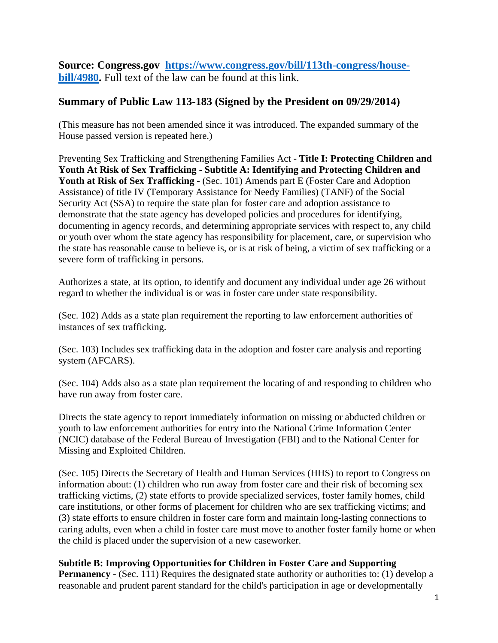**Source: Congress.gov https://www.congress.gov/bill/113th-congress/housebill/4980.** Full text of the law can be found at this link.

## **Summary of Public Law 113-183 (Signed by the President on 09/29/2014)**

(This measure has not been amended since it was introduced. The expanded summary of the House passed version is repeated here.)

Preventing Sex Trafficking and Strengthening Families Act - **Title I: Protecting Children and Youth At Risk of Sex Trafficking** - **Subtitle A: Identifying and Protecting Children and**  Youth at Risk of Sex Trafficking - (Sec. 101) Amends part E (Foster Care and Adoption Assistance) of title IV (Temporary Assistance for Needy Families) (TANF) of the Social Security Act (SSA) to require the state plan for foster care and adoption assistance to demonstrate that the state agency has developed policies and procedures for identifying, documenting in agency records, and determining appropriate services with respect to, any child or youth over whom the state agency has responsibility for placement, care, or supervision who the state has reasonable cause to believe is, or is at risk of being, a victim of sex trafficking or a severe form of trafficking in persons.

Authorizes a state, at its option, to identify and document any individual under age 26 without regard to whether the individual is or was in foster care under state responsibility.

(Sec. 102) Adds as a state plan requirement the reporting to law enforcement authorities of instances of sex trafficking.

(Sec. 103) Includes sex trafficking data in the adoption and foster care analysis and reporting system (AFCARS).

(Sec. 104) Adds also as a state plan requirement the locating of and responding to children who have run away from foster care.

Directs the state agency to report immediately information on missing or abducted children or youth to law enforcement authorities for entry into the National Crime Information Center (NCIC) database of the Federal Bureau of Investigation (FBI) and to the National Center for Missing and Exploited Children.

(Sec. 105) Directs the Secretary of Health and Human Services (HHS) to report to Congress on information about: (1) children who run away from foster care and their risk of becoming sex trafficking victims, (2) state efforts to provide specialized services, foster family homes, child care institutions, or other forms of placement for children who are sex trafficking victims; and (3) state efforts to ensure children in foster care form and maintain long-lasting connections to caring adults, even when a child in foster care must move to another foster family home or when the child is placed under the supervision of a new caseworker.

## **Subtitle B: Improving Opportunities for Children in Foster Care and Supporting**

**Permanency** - (Sec. 111) Requires the designated state authority or authorities to: (1) develop a reasonable and prudent parent standard for the child's participation in age or developmentally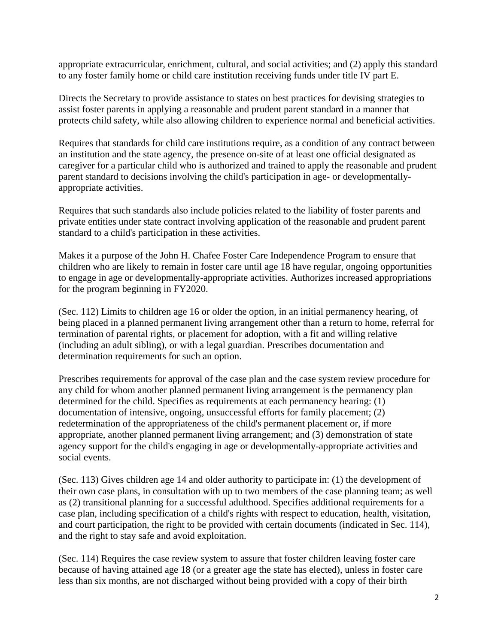appropriate extracurricular, enrichment, cultural, and social activities; and (2) apply this standard to any foster family home or child care institution receiving funds under title IV part E.

Directs the Secretary to provide assistance to states on best practices for devising strategies to assist foster parents in applying a reasonable and prudent parent standard in a manner that protects child safety, while also allowing children to experience normal and beneficial activities.

Requires that standards for child care institutions require, as a condition of any contract between an institution and the state agency, the presence on-site of at least one official designated as caregiver for a particular child who is authorized and trained to apply the reasonable and prudent parent standard to decisions involving the child's participation in age- or developmentallyappropriate activities.

Requires that such standards also include policies related to the liability of foster parents and private entities under state contract involving application of the reasonable and prudent parent standard to a child's participation in these activities.

Makes it a purpose of the John H. Chafee Foster Care Independence Program to ensure that children who are likely to remain in foster care until age 18 have regular, ongoing opportunities to engage in age or developmentally-appropriate activities. Authorizes increased appropriations for the program beginning in FY2020.

(Sec. 112) Limits to children age 16 or older the option, in an initial permanency hearing, of being placed in a planned permanent living arrangement other than a return to home, referral for termination of parental rights, or placement for adoption, with a fit and willing relative (including an adult sibling), or with a legal guardian. Prescribes documentation and determination requirements for such an option.

Prescribes requirements for approval of the case plan and the case system review procedure for any child for whom another planned permanent living arrangement is the permanency plan determined for the child. Specifies as requirements at each permanency hearing: (1) documentation of intensive, ongoing, unsuccessful efforts for family placement; (2) redetermination of the appropriateness of the child's permanent placement or, if more appropriate, another planned permanent living arrangement; and (3) demonstration of state agency support for the child's engaging in age or developmentally-appropriate activities and social events.

(Sec. 113) Gives children age 14 and older authority to participate in: (1) the development of their own case plans, in consultation with up to two members of the case planning team; as well as (2) transitional planning for a successful adulthood. Specifies additional requirements for a case plan, including specification of a child's rights with respect to education, health, visitation, and court participation, the right to be provided with certain documents (indicated in Sec. 114), and the right to stay safe and avoid exploitation.

(Sec. 114) Requires the case review system to assure that foster children leaving foster care because of having attained age 18 (or a greater age the state has elected), unless in foster care less than six months, are not discharged without being provided with a copy of their birth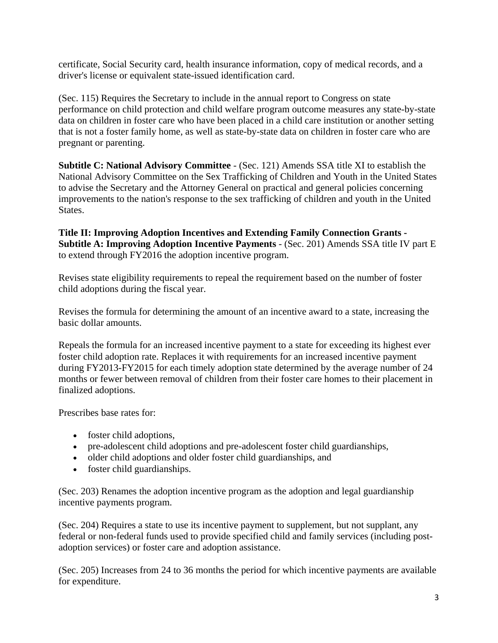certificate, Social Security card, health insurance information, copy of medical records, and a driver's license or equivalent state-issued identification card.

(Sec. 115) Requires the Secretary to include in the annual report to Congress on state performance on child protection and child welfare program outcome measures any state-by-state data on children in foster care who have been placed in a child care institution or another setting that is not a foster family home, as well as state-by-state data on children in foster care who are pregnant or parenting.

**Subtitle C: National Advisory Committee** - (Sec. 121) Amends SSA title XI to establish the National Advisory Committee on the Sex Trafficking of Children and Youth in the United States to advise the Secretary and the Attorney General on practical and general policies concerning improvements to the nation's response to the sex trafficking of children and youth in the United States.

**Title II: Improving Adoption Incentives and Extending Family Connection Grants - Subtitle A: Improving Adoption Incentive Payments** - (Sec. 201) Amends SSA title IV part E to extend through FY2016 the adoption incentive program.

Revises state eligibility requirements to repeal the requirement based on the number of foster child adoptions during the fiscal year.

Revises the formula for determining the amount of an incentive award to a state, increasing the basic dollar amounts.

Repeals the formula for an increased incentive payment to a state for exceeding its highest ever foster child adoption rate. Replaces it with requirements for an increased incentive payment during FY2013-FY2015 for each timely adoption state determined by the average number of 24 months or fewer between removal of children from their foster care homes to their placement in finalized adoptions.

Prescribes base rates for:

- foster child adoptions,
- pre-adolescent child adoptions and pre-adolescent foster child guardianships,
- older child adoptions and older foster child guardianships, and
- foster child guardianships.

(Sec. 203) Renames the adoption incentive program as the adoption and legal guardianship incentive payments program.

(Sec. 204) Requires a state to use its incentive payment to supplement, but not supplant, any federal or non-federal funds used to provide specified child and family services (including postadoption services) or foster care and adoption assistance.

(Sec. 205) Increases from 24 to 36 months the period for which incentive payments are available for expenditure.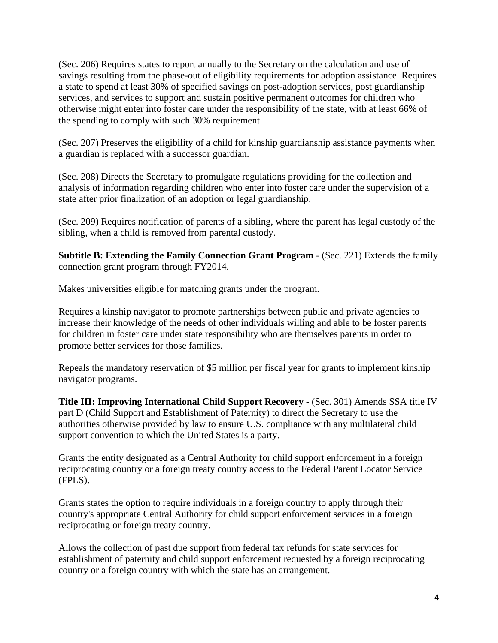(Sec. 206) Requires states to report annually to the Secretary on the calculation and use of savings resulting from the phase-out of eligibility requirements for adoption assistance. Requires a state to spend at least 30% of specified savings on post-adoption services, post guardianship services, and services to support and sustain positive permanent outcomes for children who otherwise might enter into foster care under the responsibility of the state, with at least 66% of the spending to comply with such 30% requirement.

(Sec. 207) Preserves the eligibility of a child for kinship guardianship assistance payments when a guardian is replaced with a successor guardian.

(Sec. 208) Directs the Secretary to promulgate regulations providing for the collection and analysis of information regarding children who enter into foster care under the supervision of a state after prior finalization of an adoption or legal guardianship.

(Sec. 209) Requires notification of parents of a sibling, where the parent has legal custody of the sibling, when a child is removed from parental custody.

**Subtitle B: Extending the Family Connection Grant Program** - (Sec. 221) Extends the family connection grant program through FY2014.

Makes universities eligible for matching grants under the program.

Requires a kinship navigator to promote partnerships between public and private agencies to increase their knowledge of the needs of other individuals willing and able to be foster parents for children in foster care under state responsibility who are themselves parents in order to promote better services for those families.

Repeals the mandatory reservation of \$5 million per fiscal year for grants to implement kinship navigator programs.

**Title III: Improving International Child Support Recovery** - (Sec. 301) Amends SSA title IV part D (Child Support and Establishment of Paternity) to direct the Secretary to use the authorities otherwise provided by law to ensure U.S. compliance with any multilateral child support convention to which the United States is a party.

Grants the entity designated as a Central Authority for child support enforcement in a foreign reciprocating country or a foreign treaty country access to the Federal Parent Locator Service (FPLS).

Grants states the option to require individuals in a foreign country to apply through their country's appropriate Central Authority for child support enforcement services in a foreign reciprocating or foreign treaty country.

Allows the collection of past due support from federal tax refunds for state services for establishment of paternity and child support enforcement requested by a foreign reciprocating country or a foreign country with which the state has an arrangement.